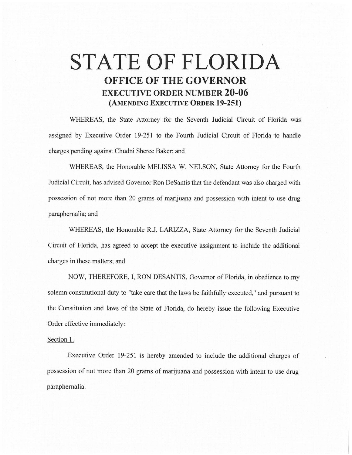## **STATE OF FLORIDA OFFICE OF THE GOVERNOR EXECUTIVE ORDER NUMBER 20-06 (AMENDING EXECUTIVE ORDER 19-251)**

WHEREAS, the State Attorney for the Seventh Judicial Circuit of Florida was assigned by Executive Order 19-251 to the Fourth Judicial Circuit of Florida to handle charges pending against Chudni Sheree Baker; and

WHEREAS, the Honorable MELISSA W. NELSON, State Attorney for the Fourth Judicial Circuit, has advised Governor Ron DeSantis that the defendant was also charged with possession of not more than 20 grams of marijuana and possession with intent to use drug paraphernalia; and

WHEREAS, the Honorable R.J. LARIZZA, State Attorney for the Seventh Judicial Circuit of Florida, has agreed to accept the executive assignment to include the additional charges in these matters; and

NOW, THEREFORE, I, RON DESANTIS, Governor of Florida, in obedience to my solemn constitutional duty to "take care that the laws be faithfully executed," and pursuant to the Constitution and laws of the State of Florida, do hereby issue the following Executive Order effective immediately:

## Section 1.

Executive Order 19-251 is hereby amended to include the additional charges of possession of not more than 20 grams of marijuana and possession with intent to use drug paraphernalia.